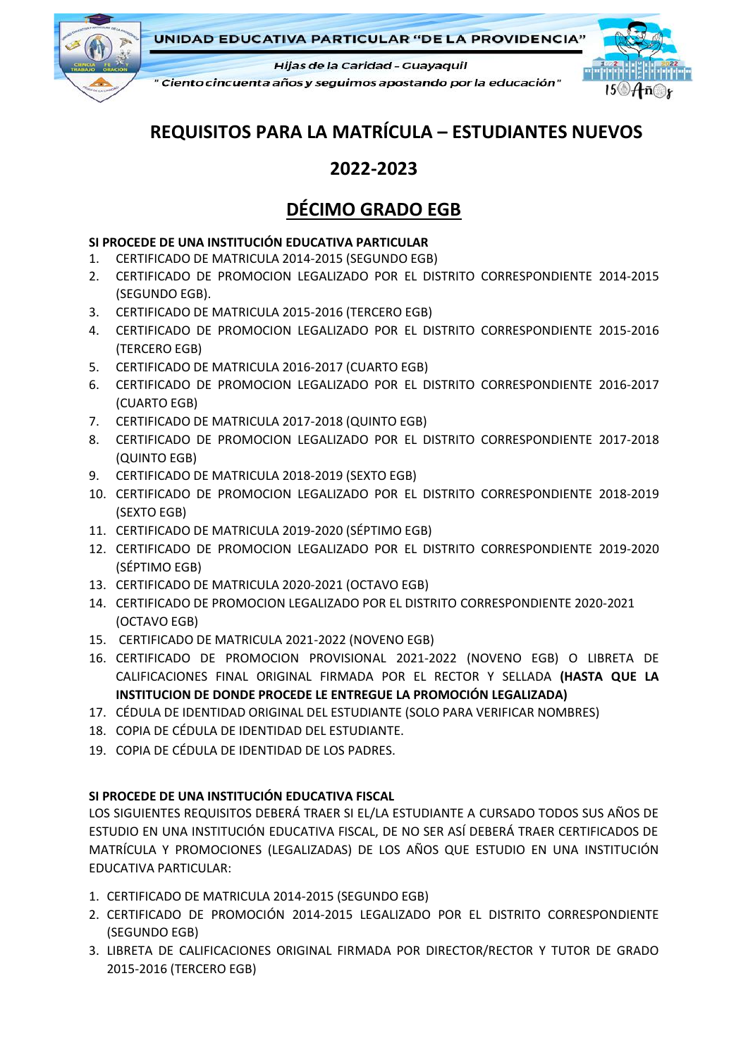

**UNIDAD EDUCATIVA PARTICULAR "DE LA PROVIDENCIA"** 

Hijas de la Caridad - Guayaquil

" Ciento cincuenta años y seguimos apostando por la educación"



# **REQUISITOS PARA LA MATRÍCULA – ESTUDIANTES NUEVOS**

### **2022-2023**

## **DÉCIMO GRADO EGB**

#### **SI PROCEDE DE UNA INSTITUCIÓN EDUCATIVA PARTICULAR**

- 1. CERTIFICADO DE MATRICULA 2014-2015 (SEGUNDO EGB)
- 2. CERTIFICADO DE PROMOCION LEGALIZADO POR EL DISTRITO CORRESPONDIENTE 2014-2015 (SEGUNDO EGB).
- 3. CERTIFICADO DE MATRICULA 2015-2016 (TERCERO EGB)
- 4. CERTIFICADO DE PROMOCION LEGALIZADO POR EL DISTRITO CORRESPONDIENTE 2015-2016 (TERCERO EGB)
- 5. CERTIFICADO DE MATRICULA 2016-2017 (CUARTO EGB)
- 6. CERTIFICADO DE PROMOCION LEGALIZADO POR EL DISTRITO CORRESPONDIENTE 2016-2017 (CUARTO EGB)
- 7. CERTIFICADO DE MATRICULA 2017-2018 (QUINTO EGB)
- 8. CERTIFICADO DE PROMOCION LEGALIZADO POR EL DISTRITO CORRESPONDIENTE 2017-2018 (QUINTO EGB)
- 9. CERTIFICADO DE MATRICULA 2018-2019 (SEXTO EGB)
- 10. CERTIFICADO DE PROMOCION LEGALIZADO POR EL DISTRITO CORRESPONDIENTE 2018-2019 (SEXTO EGB)
- 11. CERTIFICADO DE MATRICULA 2019-2020 (SÉPTIMO EGB)
- 12. CERTIFICADO DE PROMOCION LEGALIZADO POR EL DISTRITO CORRESPONDIENTE 2019-2020 (SÉPTIMO EGB)
- 13. CERTIFICADO DE MATRICULA 2020-2021 (OCTAVO EGB)
- 14. CERTIFICADO DE PROMOCION LEGALIZADO POR EL DISTRITO CORRESPONDIENTE 2020-2021 (OCTAVO EGB)
- 15. CERTIFICADO DE MATRICULA 2021-2022 (NOVENO EGB)
- 16. CERTIFICADO DE PROMOCION PROVISIONAL 2021-2022 (NOVENO EGB) O LIBRETA DE CALIFICACIONES FINAL ORIGINAL FIRMADA POR EL RECTOR Y SELLADA **(HASTA QUE LA INSTITUCION DE DONDE PROCEDE LE ENTREGUE LA PROMOCIÓN LEGALIZADA)**
- 17. CÉDULA DE IDENTIDAD ORIGINAL DEL ESTUDIANTE (SOLO PARA VERIFICAR NOMBRES)
- 18. COPIA DE CÉDULA DE IDENTIDAD DEL ESTUDIANTE.
- 19. COPIA DE CÉDULA DE IDENTIDAD DE LOS PADRES.

#### **SI PROCEDE DE UNA INSTITUCIÓN EDUCATIVA FISCAL**

LOS SIGUIENTES REQUISITOS DEBERÁ TRAER SI EL/LA ESTUDIANTE A CURSADO TODOS SUS AÑOS DE ESTUDIO EN UNA INSTITUCIÓN EDUCATIVA FISCAL, DE NO SER ASÍ DEBERÁ TRAER CERTIFICADOS DE MATRÍCULA Y PROMOCIONES (LEGALIZADAS) DE LOS AÑOS QUE ESTUDIO EN UNA INSTITUCIÓN EDUCATIVA PARTICULAR:

- 1. CERTIFICADO DE MATRICULA 2014-2015 (SEGUNDO EGB)
- 2. CERTIFICADO DE PROMOCIÓN 2014-2015 LEGALIZADO POR EL DISTRITO CORRESPONDIENTE (SEGUNDO EGB)
- 3. LIBRETA DE CALIFICACIONES ORIGINAL FIRMADA POR DIRECTOR/RECTOR Y TUTOR DE GRADO 2015-2016 (TERCERO EGB)